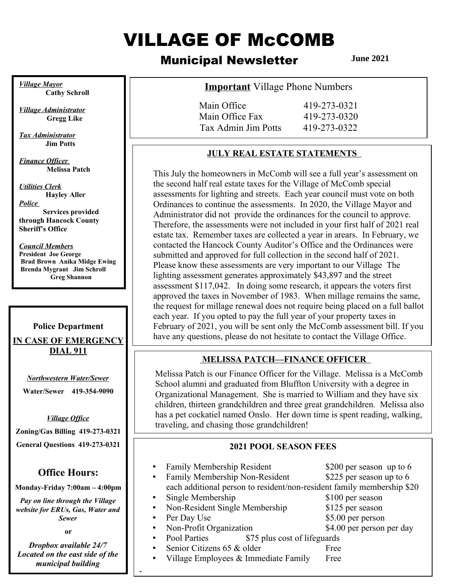# VILLAGE OF McCOMB

## Municipal Newsletter

**June 2021**

*Village Mayor* **Cathy Schroll**

*Village Administrator*  **Gregg Like**

*Tax Administrator* **Jim Potts**

*Finance Officer*   **Melissa Patch**

*Utilities Clerk* **Hayley Aller** *Police* 

**Services provided through Hancock County Sheriff's Office**

 **Brenda Mygrant Jim Schroll** *Council Members* **President Joe George Brad Brown Anika Midge Ewing Greg Shannon** 

#### **Police Department**

**IN CASE OF EMERGENCY DIAL 911**

> t, *Northwestern Water/Sewer*

**Water/Sewer 419-354-9090**

### *Village Office*

**Zoning/Gas Billing 419-273-0321 General Questions 419-273-0321**

## **Office Hours:**

**Monday-Friday 7:00am – 4:00pm**

*Pay on line through the Village website for ERUs, Gas, Water and Sewer*

**or**

*Dropbox available 24/7 Located on the east side of the municipal building*

## **Important** Village Phone Numbers

Main Office 419-273-0321 Main Office Fax 419-273-0320 Tax Admin Jim Potts 419-273-0322

## **JULY REAL ESTATE STATEMENTS**

This July the homeowners in McComb will see a full year's assessment on the second half real estate taxes for the Village of McComb special assessments for lighting and streets. Each year council must vote on both Ordinances to continue the assessments. In 2020, the Village Mayor and Administrator did not provide the ordinances for the council to approve. Therefore, the assessments were not included in your first half of 2021 real estate tax. Remember taxes are collected a year in arears. In February, we contacted the Hancock County Auditor's Office and the Ordinances were submitted and approved for full collection in the second half of 2021. Please know these assessments are very important to our Village The lighting assessment generates approximately \$43,897 and the street assessment \$117,042. In doing some research, it appears the voters first approved the taxes in November of 1983. When millage remains the same, the request for millage renewal does not require being placed on a full ballot each year. If you opted to pay the full year of your property taxes in February of 2021, you will be sent only the McComb assessment bill. If you have any questions, please do not hesitate to contact the Village Office.

## **MELISSA PATCH—FINANCE OFFICER**

Melissa Patch is our Finance Officer for the Village. Melissa is a McComb School alumni and graduated from Bluffton University with a degree in Organizational Management. She is married to William and they have six children, thirteen grandchildren and three great grandchildren. Melissa also has a pet cockatiel named Onslo. Her down time is spent reading, walking, traveling, and chasing those grandchildren!

### **2021 POOL SEASON FEES**

- Family Membership Resident \$200 per season up to 6 • Family Membership Non-Resident \$225 per season up to 6 each additional person to resident/non-resident family membership \$20 Single Membership  $$100$  per season • Non-Resident Single Membership \$125 per season • Per Day Use \$5.00 per person<br>• Non-Profit Organization \$4.00 per person per day Non-Profit Organization • Pool Parties \$75 plus cost of lifeguards • Senior Citizens 65 & older Free
- Village Employees & Immediate Family Free